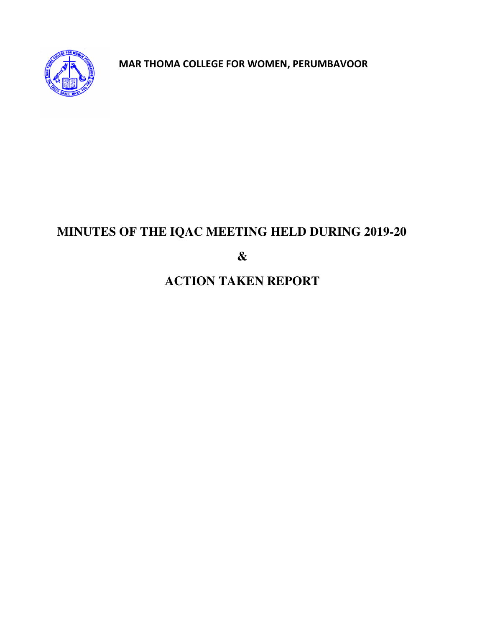

 **MAR THOMA COLLEGE FOR WOMEN, PERUMBAVOOR**

# **MINUTES OF THE IQAC MEETING HELD DURING 2019-20**

**&** 

# **ACTION TAKEN REPORT**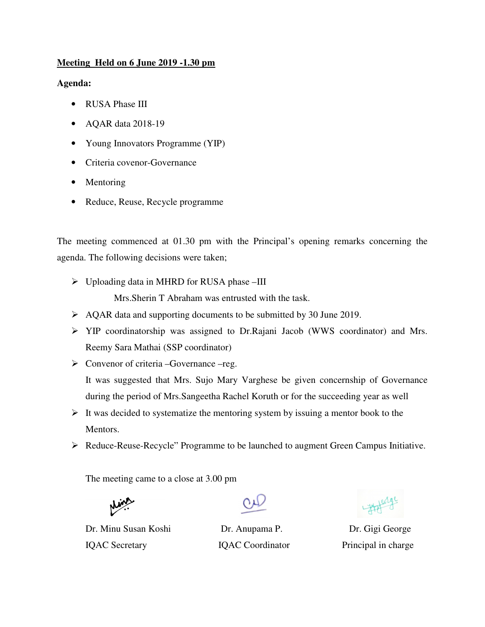## **Meeting Held on 6 June 2019 -1.30 pm**

#### **Agenda:**

- RUSA Phase III
- AQAR data 2018-19
- Young Innovators Programme (YIP)
- Criteria covenor-Governance
- Mentoring
- Reduce, Reuse, Recycle programme

The meeting commenced at 01.30 pm with the Principal's opening remarks concerning the agenda. The following decisions were taken;

Uploading data in MHRD for RUSA phase –III

Mrs.Sherin T Abraham was entrusted with the task.

- $\triangleright$  AQAR data and supporting documents to be submitted by 30 June 2019.
- YIP coordinatorship was assigned to Dr.Rajani Jacob (WWS coordinator) and Mrs. Reemy Sara Mathai (SSP coordinator)
- $\triangleright$  Convenor of criteria –Governance –reg. It was suggested that Mrs. Sujo Mary Varghese be given concernship of Governance during the period of Mrs.Sangeetha Rachel Koruth or for the succeeding year as well
- $\triangleright$  It was decided to systematize the mentoring system by issuing a mentor book to the Mentors.
- Reduce-Reuse-Recycle" Programme to be launched to augment Green Campus Initiative.

The meeting came to a close at 3.00 pm

Dr. Minu Susan Koshi Dr. Anupama P. Dr. Gigi George IQAC Secretary **IQAC Coordinator** Principal in charge

- Hotel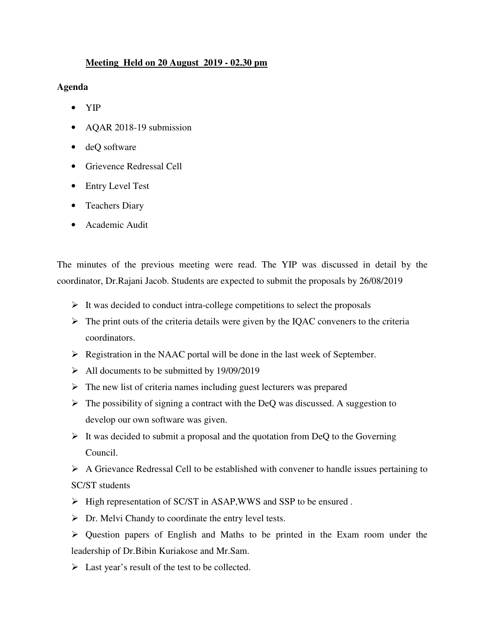## **Meeting Held on 20 August 2019 - 02.30 pm**

**Agenda** 

- YIP
- AQAR 2018-19 submission
- deQ software
- Grievence Redressal Cell
- Entry Level Test
- Teachers Diary
- Academic Audit

The minutes of the previous meeting were read. The YIP was discussed in detail by the coordinator, Dr.Rajani Jacob. Students are expected to submit the proposals by 26/08/2019

- $\triangleright$  It was decided to conduct intra-college competitions to select the proposals
- $\triangleright$  The print outs of the criteria details were given by the IQAC conveners to the criteria coordinators.
- Registration in the NAAC portal will be done in the last week of September.
- $\blacktriangleright$  All documents to be submitted by 19/09/2019
- $\triangleright$  The new list of criteria names including guest lecturers was prepared
- $\triangleright$  The possibility of signing a contract with the DeQ was discussed. A suggestion to develop our own software was given.
- $\triangleright$  It was decided to submit a proposal and the quotation from DeQ to the Governing Council.
- $\triangleright$  A Grievance Redressal Cell to be established with convener to handle issues pertaining to SC/ST students
- $\triangleright$  High representation of SC/ST in ASAP, WWS and SSP to be ensured.
- $\triangleright$  Dr. Melvi Chandy to coordinate the entry level tests.
- Question papers of English and Maths to be printed in the Exam room under the leadership of Dr.Bibin Kuriakose and Mr.Sam.
- $\triangleright$  Last year's result of the test to be collected.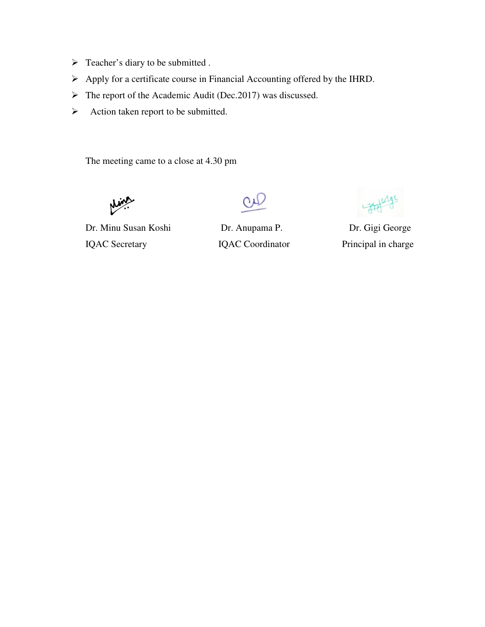- > Teacher's diary to be submitted .
- Apply for a certificate course in Financial Accounting offered by the IHRD.
- $\triangleright$  The report of the Academic Audit (Dec.2017) was discussed.
- $\triangleright$  Action taken report to be submitted.

The meeting came to a close at 4.30 pm

Dr. Minu Susan Koshi Dr. Anupama P. Dr. Gigi George IQAC Secretary **IQAC Coordinator** Principal in charge

1 yester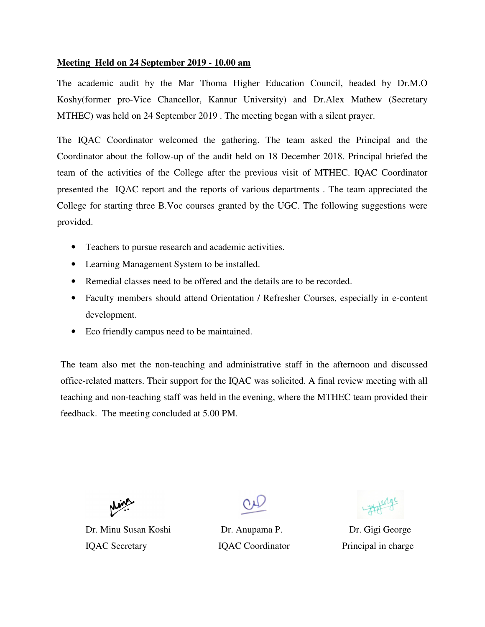#### **Meeting Held on 24 September 2019 - 10.00 am**

The academic audit by the Mar Thoma Higher Education Council, headed by Dr.M.O Koshy(former pro-Vice Chancellor, Kannur University) and Dr.Alex Mathew (Secretary MTHEC) was held on 24 September 2019 . The meeting began with a silent prayer.

The IQAC Coordinator welcomed the gathering. The team asked the Principal and the Coordinator about the follow-up of the audit held on 18 December 2018. Principal briefed the team of the activities of the College after the previous visit of MTHEC. IQAC Coordinator presented the IQAC report and the reports of various departments . The team appreciated the College for starting three B.Voc courses granted by the UGC. The following suggestions were provided.

- Teachers to pursue research and academic activities.
- Learning Management System to be installed.
- Remedial classes need to be offered and the details are to be recorded.
- Faculty members should attend Orientation / Refresher Courses, especially in e-content development.
- Eco friendly campus need to be maintained.

The team also met the non-teaching and administrative staff in the afternoon and discussed office-related matters. Their support for the IQAC was solicited. A final review meeting with all teaching and non-teaching staff was held in the evening, where the MTHEC team provided their feedback. The meeting concluded at 5.00 PM.



Dr. Minu Susan Koshi Dr. Anupama P. Dr. Gigi George IQAC Secretary **IQAC Coordinator** Principal in charge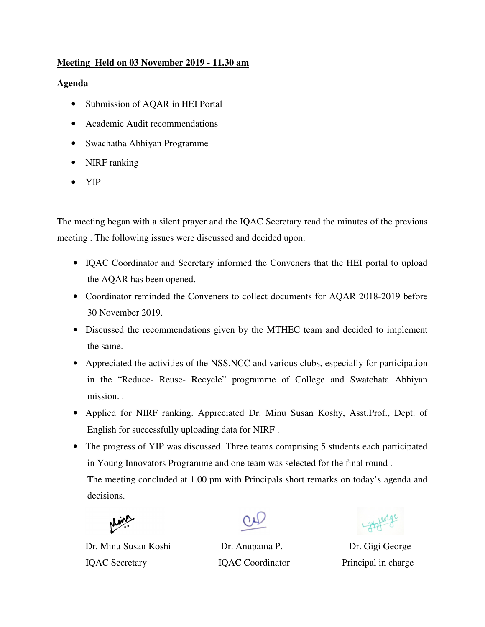# **Meeting Held on 03 November 2019 - 11.30 am**

## **Agenda**

- Submission of AQAR in HEI Portal
- Academic Audit recommendations
- Swachatha Abhiyan Programme
- NIRF ranking
- YIP

The meeting began with a silent prayer and the IQAC Secretary read the minutes of the previous meeting . The following issues were discussed and decided upon:

- IQAC Coordinator and Secretary informed the Conveners that the HEI portal to upload the AQAR has been opened.
- Coordinator reminded the Conveners to collect documents for AQAR 2018-2019 before 30 November 2019.
- Discussed the recommendations given by the MTHEC team and decided to implement the same.
- Appreciated the activities of the NSS, NCC and various clubs, especially for participation in the "Reduce- Reuse- Recycle" programme of College and Swatchata Abhiyan mission. .
- Applied for NIRF ranking. Appreciated Dr. Minu Susan Koshy, Asst.Prof., Dept. of English for successfully uploading data for NIRF .
- The progress of YIP was discussed. Three teams comprising 5 students each participated in Young Innovators Programme and one team was selected for the final round . The meeting concluded at 1.00 pm with Principals short remarks on today's agenda and decisions.



Dr. Minu Susan Koshi Dr. Anupama P. Dr. Gigi George IQAC Secretary **IQAC Coordinator** Principal in charge

Little de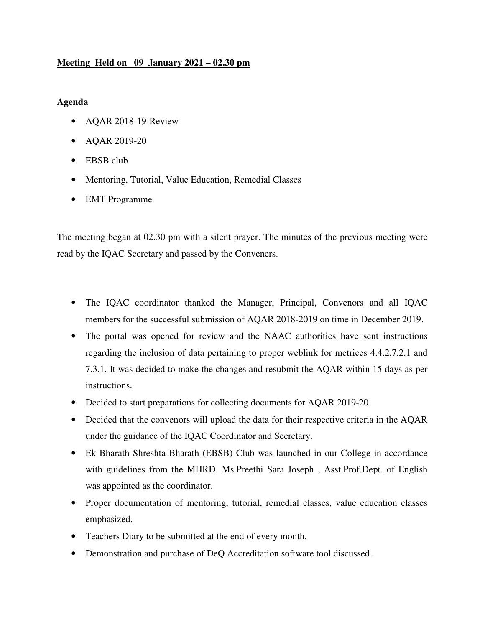## **Meeting Held on 09 January 2021 – 02.30 pm**

## **Agenda**

- AQAR 2018-19-Review
- AQAR 2019-20
- EBSB club
- Mentoring, Tutorial, Value Education, Remedial Classes
- EMT Programme

The meeting began at 02.30 pm with a silent prayer. The minutes of the previous meeting were read by the IQAC Secretary and passed by the Conveners.

- The IQAC coordinator thanked the Manager, Principal, Convenors and all IQAC members for the successful submission of AQAR 2018-2019 on time in December 2019.
- The portal was opened for review and the NAAC authorities have sent instructions regarding the inclusion of data pertaining to proper weblink for metrices 4.4.2,7.2.1 and 7.3.1. It was decided to make the changes and resubmit the AQAR within 15 days as per instructions.
- Decided to start preparations for collecting documents for AQAR 2019-20.
- Decided that the convenors will upload the data for their respective criteria in the AQAR under the guidance of the IQAC Coordinator and Secretary.
- Ek Bharath Shreshta Bharath (EBSB) Club was launched in our College in accordance with guidelines from the MHRD. Ms.Preethi Sara Joseph , Asst.Prof.Dept. of English was appointed as the coordinator.
- Proper documentation of mentoring, tutorial, remedial classes, value education classes emphasized.
- Teachers Diary to be submitted at the end of every month.
- Demonstration and purchase of DeQ Accreditation software tool discussed.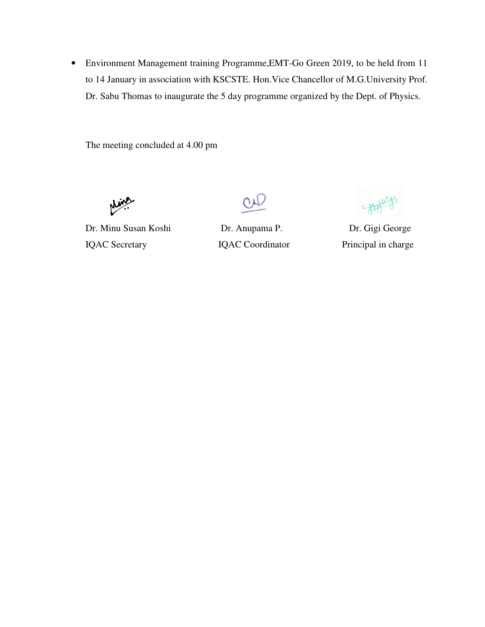• Environment Management training Programme,EMT-Go Green 2019, to be held from 11 to 14 January in association with KSCSTE. Hon.Vice Chancellor of M.G.University Prof. Dr. Sabu Thomas to inaugurate the 5 day programme organized by the Dept. of Physics.

The meeting concluded at 4.00 pm

Dr. Minu Susan Koshi Dr. Anupama P. Dr. Gigi George IQAC Secretary **IQAC Coordinator** Principal in charge

1 Horge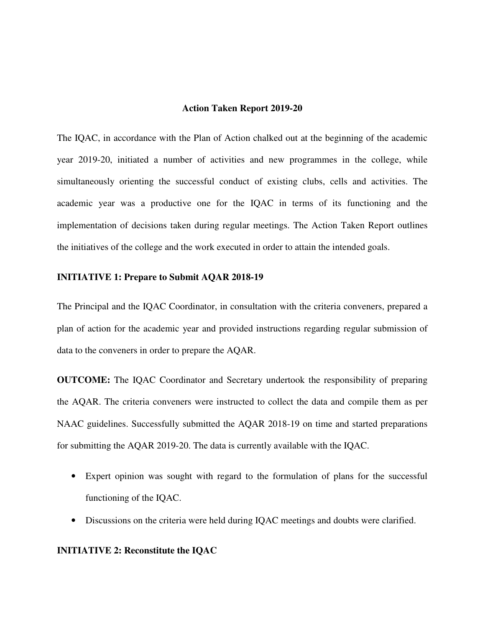#### **Action Taken Report 2019-20**

The IQAC, in accordance with the Plan of Action chalked out at the beginning of the academic year 2019-20, initiated a number of activities and new programmes in the college, while simultaneously orienting the successful conduct of existing clubs, cells and activities. The academic year was a productive one for the IQAC in terms of its functioning and the implementation of decisions taken during regular meetings. The Action Taken Report outlines the initiatives of the college and the work executed in order to attain the intended goals.

#### **INITIATIVE 1: Prepare to Submit AQAR 2018-19**

The Principal and the IQAC Coordinator, in consultation with the criteria conveners, prepared a plan of action for the academic year and provided instructions regarding regular submission of data to the conveners in order to prepare the AQAR.

**OUTCOME:** The IQAC Coordinator and Secretary undertook the responsibility of preparing the AQAR. The criteria conveners were instructed to collect the data and compile them as per NAAC guidelines. Successfully submitted the AQAR 2018-19 on time and started preparations for submitting the AQAR 2019-20. The data is currently available with the IQAC.

- Expert opinion was sought with regard to the formulation of plans for the successful functioning of the IQAC.
- Discussions on the criteria were held during IQAC meetings and doubts were clarified.

#### **INITIATIVE 2: Reconstitute the IQAC**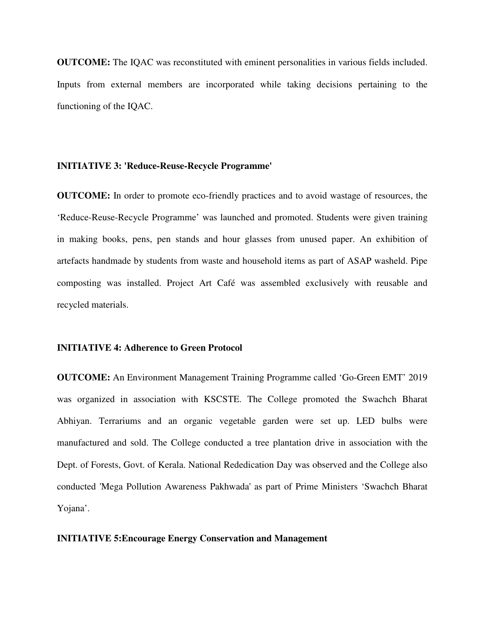**OUTCOME:** The IQAC was reconstituted with eminent personalities in various fields included. Inputs from external members are incorporated while taking decisions pertaining to the functioning of the IQAC.

#### **INITIATIVE 3: 'Reduce-Reuse-Recycle Programme'**

**OUTCOME:** In order to promote eco-friendly practices and to avoid wastage of resources, the 'Reduce-Reuse-Recycle Programme' was launched and promoted. Students were given training in making books, pens, pen stands and hour glasses from unused paper. An exhibition of artefacts handmade by students from waste and household items as part of ASAP washeld. Pipe composting was installed. Project Art Café was assembled exclusively with reusable and recycled materials.

#### **INITIATIVE 4: Adherence to Green Protocol**

**OUTCOME:** An Environment Management Training Programme called 'Go-Green EMT' 2019 was organized in association with KSCSTE. The College promoted the Swachch Bharat Abhiyan. Terrariums and an organic vegetable garden were set up. LED bulbs were manufactured and sold. The College conducted a tree plantation drive in association with the Dept. of Forests, Govt. of Kerala. National Rededication Day was observed and the College also conducted 'Mega Pollution Awareness Pakhwada' as part of Prime Ministers 'Swachch Bharat Yojana'.

#### **INITIATIVE 5:Encourage Energy Conservation and Management**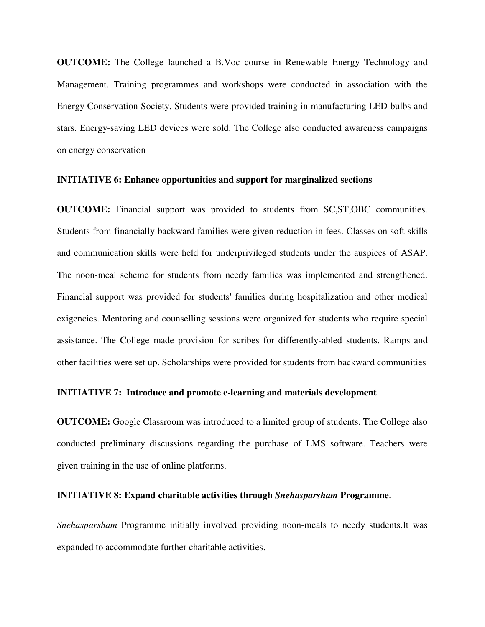**OUTCOME:** The College launched a B.Voc course in Renewable Energy Technology and Management. Training programmes and workshops were conducted in association with the Energy Conservation Society. Students were provided training in manufacturing LED bulbs and stars. Energy-saving LED devices were sold. The College also conducted awareness campaigns on energy conservation

#### **INITIATIVE 6: Enhance opportunities and support for marginalized sections**

**OUTCOME:** Financial support was provided to students from SC,ST,OBC communities. Students from financially backward families were given reduction in fees. Classes on soft skills and communication skills were held for underprivileged students under the auspices of ASAP. The noon-meal scheme for students from needy families was implemented and strengthened. Financial support was provided for students' families during hospitalization and other medical exigencies. Mentoring and counselling sessions were organized for students who require special assistance. The College made provision for scribes for differently-abled students. Ramps and other facilities were set up. Scholarships were provided for students from backward communities

#### **INITIATIVE 7: Introduce and promote e-learning and materials development**

**OUTCOME:** Google Classroom was introduced to a limited group of students. The College also conducted preliminary discussions regarding the purchase of LMS software. Teachers were given training in the use of online platforms.

#### **INITIATIVE 8: Expand charitable activities through** *Snehasparsham* **Programme**.

*Snehasparsham* Programme initially involved providing noon-meals to needy students.It was expanded to accommodate further charitable activities.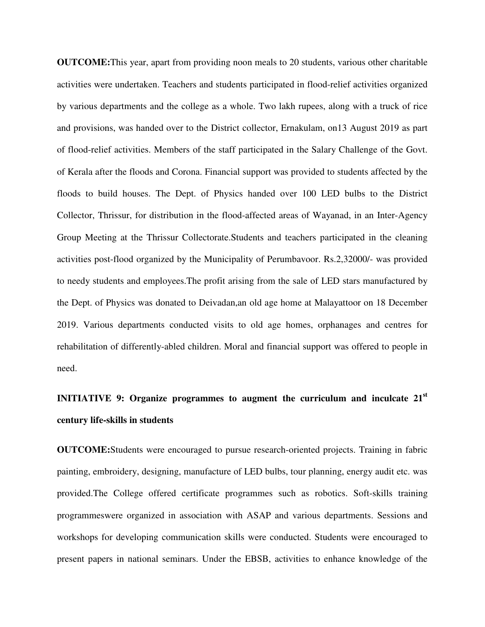**OUTCOME:**This year, apart from providing noon meals to 20 students, various other charitable activities were undertaken. Teachers and students participated in flood-relief activities organized by various departments and the college as a whole. Two lakh rupees, along with a truck of rice and provisions, was handed over to the District collector, Ernakulam, on13 August 2019 as part of flood-relief activities. Members of the staff participated in the Salary Challenge of the Govt. of Kerala after the floods and Corona. Financial support was provided to students affected by the floods to build houses. The Dept. of Physics handed over 100 LED bulbs to the District Collector, Thrissur, for distribution in the flood-affected areas of Wayanad, in an Inter-Agency Group Meeting at the Thrissur Collectorate.Students and teachers participated in the cleaning activities post-flood organized by the Municipality of Perumbavoor. Rs.2,32000/- was provided to needy students and employees.The profit arising from the sale of LED stars manufactured by the Dept. of Physics was donated to Deivadan,an old age home at Malayattoor on 18 December 2019. Various departments conducted visits to old age homes, orphanages and centres for rehabilitation of differently-abled children. Moral and financial support was offered to people in need.

# **INITIATIVE 9: Organize programmes to augment the curriculum and inculcate 21st century life-skills in students**

**OUTCOME:**Students were encouraged to pursue research-oriented projects. Training in fabric painting, embroidery, designing, manufacture of LED bulbs, tour planning, energy audit etc. was provided.The College offered certificate programmes such as robotics. Soft-skills training programmeswere organized in association with ASAP and various departments. Sessions and workshops for developing communication skills were conducted. Students were encouraged to present papers in national seminars. Under the EBSB, activities to enhance knowledge of the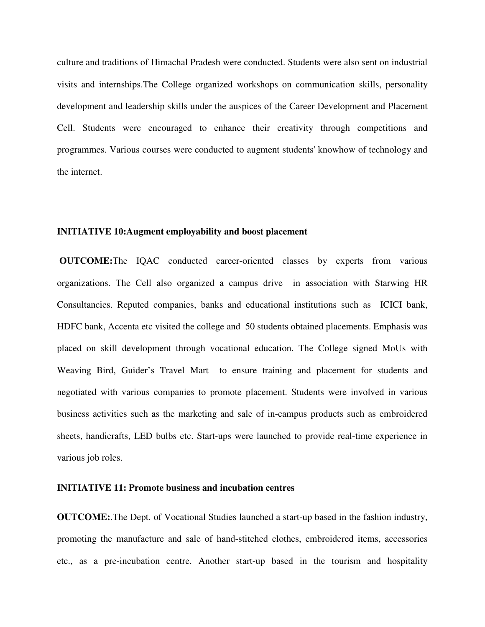culture and traditions of Himachal Pradesh were conducted. Students were also sent on industrial visits and internships.The College organized workshops on communication skills, personality development and leadership skills under the auspices of the Career Development and Placement Cell. Students were encouraged to enhance their creativity through competitions and programmes. Various courses were conducted to augment students' knowhow of technology and the internet.

#### **INITIATIVE 10:Augment employability and boost placement**

 **OUTCOME:**The IQAC conducted career-oriented classes by experts from various organizations. The Cell also organized a campus drive in association with Starwing HR Consultancies. Reputed companies, banks and educational institutions such as ICICI bank, HDFC bank, Accenta etc visited the college and 50 students obtained placements. Emphasis was placed on skill development through vocational education. The College signed MoUs with Weaving Bird, Guider's Travel Mart to ensure training and placement for students and negotiated with various companies to promote placement. Students were involved in various business activities such as the marketing and sale of in-campus products such as embroidered sheets, handicrafts, LED bulbs etc. Start-ups were launched to provide real-time experience in various job roles.

#### **INITIATIVE 11: Promote business and incubation centres**

**OUTCOME:**.The Dept. of Vocational Studies launched a start-up based in the fashion industry, promoting the manufacture and sale of hand-stitched clothes, embroidered items, accessories etc., as a pre-incubation centre. Another start-up based in the tourism and hospitality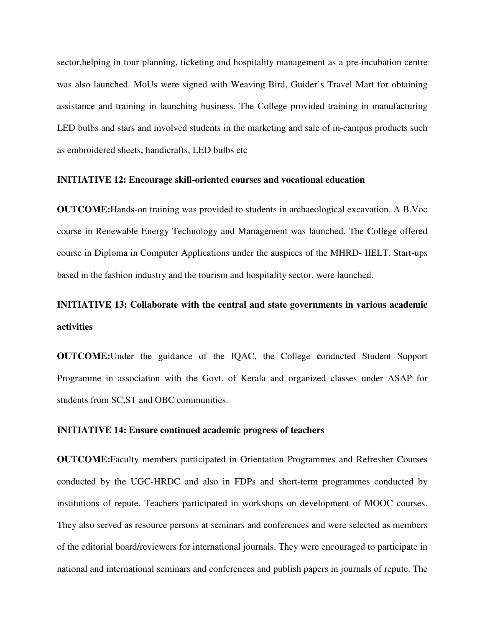sector,helping in tour planning, ticketing and hospitality management as a pre-incubation centre was also launched. MoUs were signed with Weaving Bird, Guider's Travel Mart for obtaining assistance and training in launching business. The College provided training in manufacturing LED bulbs and stars and involved students in the marketing and sale of in-campus products such as embroidered sheets, handicrafts, LED bulbs etc

#### **INITIATIVE 12: Encourage skill-oriented courses and vocational education**

**OUTCOME:**Hands-on training was provided to students in archaeological excavation. A B.Voc course in Renewable Energy Technology and Management was launched. The College offered course in Diploma in Computer Applications under the auspices of the MHRD- IIELT. Start-ups based in the fashion industry and the tourism and hospitality sector, were launched.

# **INITIATIVE 13: Collaborate with the central and state governments in various academic activities**

**OUTCOME:**Under the guidance of the IQAC, the College **c**onducted Student Support Programme in association with the Govt. of Kerala and organized classes under ASAP for students from SC,ST and OBC communities.

#### **INITIATIVE 14: Ensure continued academic progress of teachers**

**OUTCOME:**Faculty members participated in Orientation Programmes and Refresher Courses conducted by the UGC-HRDC and also in FDPs and short-term programmes conducted by institutions of repute. Teachers participated in workshops on development of MOOC courses. They also served as resource persons at seminars and conferences and were selected as members of the editorial board/reviewers for international journals. They were encouraged to participate in national and international seminars and conferences and publish papers in journals of repute. The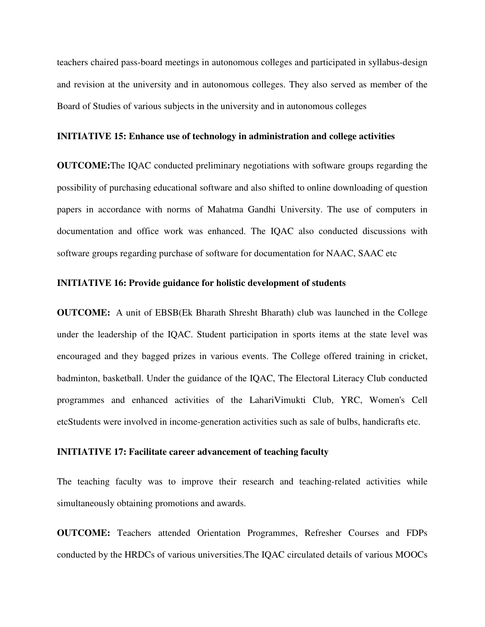teachers chaired pass-board meetings in autonomous colleges and participated in syllabus-design and revision at the university and in autonomous colleges. They also served as member of the Board of Studies of various subjects in the university and in autonomous colleges

#### **INITIATIVE 15: Enhance use of technology in administration and college activities**

**OUTCOME:**The IQAC conducted preliminary negotiations with software groups regarding the possibility of purchasing educational software and also shifted to online downloading of question papers in accordance with norms of Mahatma Gandhi University. The use of computers in documentation and office work was enhanced. The IQAC also conducted discussions with software groups regarding purchase of software for documentation for NAAC, SAAC etc

#### **INITIATIVE 16: Provide guidance for holistic development of students**

**OUTCOME:** A unit of EBSB(Ek Bharath Shresht Bharath) club was launched in the College under the leadership of the IQAC. Student participation in sports items at the state level was encouraged and they bagged prizes in various events. The College offered training in cricket, badminton, basketball. Under the guidance of the IQAC, The Electoral Literacy Club conducted programmes and enhanced activities of the LahariVimukti Club, YRC, Women's Cell etcStudents were involved in income-generation activities such as sale of bulbs, handicrafts etc.

#### **INITIATIVE 17: Facilitate career advancement of teaching faculty**

The teaching faculty was to improve their research and teaching-related activities while simultaneously obtaining promotions and awards.

**OUTCOME:** Teachers attended Orientation Programmes, Refresher Courses and FDPs conducted by the HRDCs of various universities.The IQAC circulated details of various MOOCs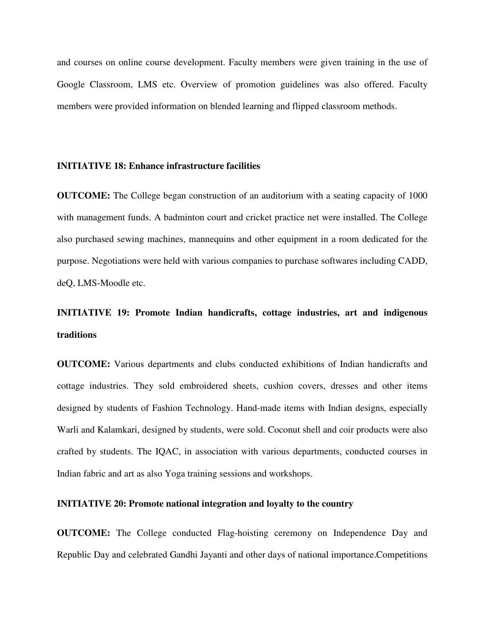and courses on online course development. Faculty members were given training in the use of Google Classroom, LMS etc. Overview of promotion guidelines was also offered. Faculty members were provided information on blended learning and flipped classroom methods.

#### **INITIATIVE 18: Enhance infrastructure facilities**

**OUTCOME:** The College began construction of an auditorium with a seating capacity of 1000 with management funds. A badminton court and cricket practice net were installed. The College also purchased sewing machines, mannequins and other equipment in a room dedicated for the purpose. Negotiations were held with various companies to purchase softwares including CADD, deQ, LMS-Moodle etc.

# **INITIATIVE 19: Promote Indian handicrafts, cottage industries, art and indigenous traditions**

**OUTCOME:** Various departments and clubs conducted exhibitions of Indian handicrafts and cottage industries. They sold embroidered sheets, cushion covers, dresses and other items designed by students of Fashion Technology. Hand-made items with Indian designs, especially Warli and Kalamkari, designed by students, were sold. Coconut shell and coir products were also crafted by students. The IQAC, in association with various departments, conducted courses in Indian fabric and art as also Yoga training sessions and workshops.

#### **INITIATIVE 20: Promote national integration and loyalty to the country**

**OUTCOME:** The College conducted Flag-hoisting ceremony on Independence Day and Republic Day and celebrated Gandhi Jayanti and other days of national importance.Competitions